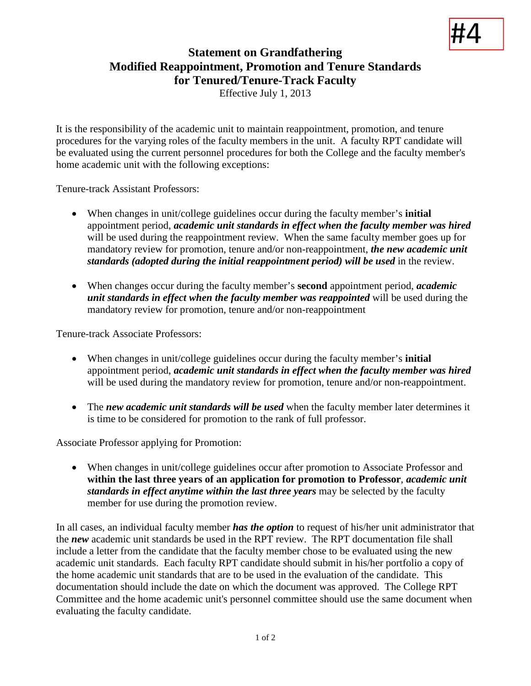## #4

## **Statement on Grandfathering Modified Reappointment, Promotion and Tenure Standards for Tenured/Tenure-Track Faculty**

Effective July 1, 2013

It is the responsibility of the academic unit to maintain reappointment, promotion, and tenure procedures for the varying roles of the faculty members in the unit. A faculty RPT candidate will be evaluated using the current personnel procedures for both the College and the faculty member's home academic unit with the following exceptions:

Tenure-track Assistant Professors:

- When changes in unit/college guidelines occur during the faculty member's **initial** appointment period, *academic unit standards in effect when the faculty member was hired* will be used during the reappointment review. When the same faculty member goes up for mandatory review for promotion, tenure and/or non-reappointment, *the new academic unit standards (adopted during the initial reappointment period) will be used* in the review.
- When changes occur during the faculty member's **second** appointment period, *academic unit standards in effect when the faculty member was reappointed* will be used during the mandatory review for promotion, tenure and/or non-reappointment

Tenure-track Associate Professors:

- When changes in unit/college guidelines occur during the faculty member's **initial** appointment period, *academic unit standards in effect when the faculty member was hired* will be used during the mandatory review for promotion, tenure and/or non-reappointment.
- The *new academic unit standards will be used* when the faculty member later determines it is time to be considered for promotion to the rank of full professor.

Associate Professor applying for Promotion:

• When changes in unit/college guidelines occur after promotion to Associate Professor and **within the last three years of an application for promotion to Professor**, *academic unit standards in effect anytime within the last three years* may be selected by the faculty member for use during the promotion review.

In all cases, an individual faculty member *has the option* to request of his/her unit administrator that the *new* academic unit standards be used in the RPT review. The RPT documentation file shall include a letter from the candidate that the faculty member chose to be evaluated using the new academic unit standards. Each faculty RPT candidate should submit in his/her portfolio a copy of the home academic unit standards that are to be used in the evaluation of the candidate. This documentation should include the date on which the document was approved. The College RPT Committee and the home academic unit's personnel committee should use the same document when evaluating the faculty candidate.